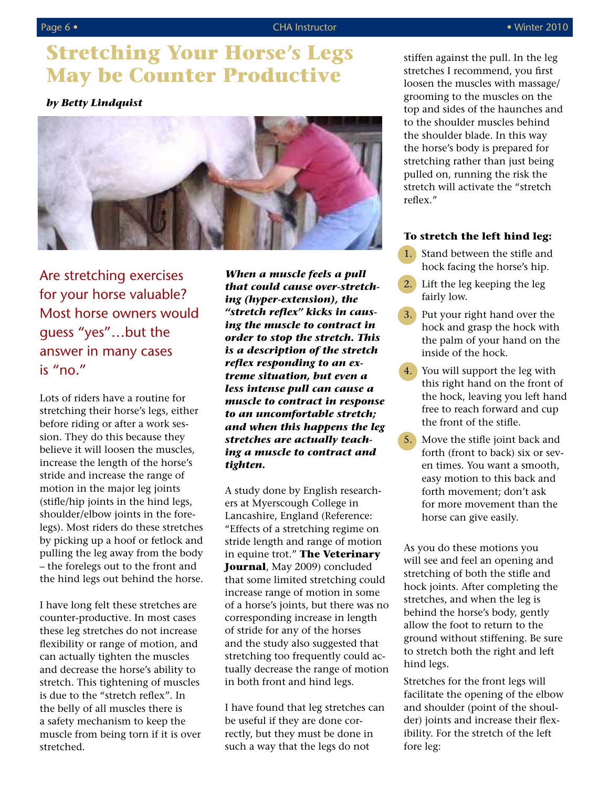# Page 6 • CHA Instructor **• CHA Instructor** • CHA Instructor • **• • Winter 2010**

# **Stretching Your Horse's Legs May be Counter Productive**

# *by Betty Lindquist*



Are stretching exercises for your horse valuable? Most horse owners would guess "yes"…but the answer in many cases is "no."

Lots of riders have a routine for stretching their horse's legs, either before riding or after a work session. They do this because they believe it will loosen the muscles, increase the length of the horse's stride and increase the range of motion in the major leg joints (stifle/hip joints in the hind legs, shoulder/elbow joints in the forelegs). Most riders do these stretches by picking up a hoof or fetlock and pulling the leg away from the body – the forelegs out to the front and the hind legs out behind the horse.

I have long felt these stretches are counter-productive. In most cases these leg stretches do not increase flexibility or range of motion, and can actually tighten the muscles and decrease the horse's ability to stretch. This tightening of muscles is due to the "stretch reflex". In the belly of all muscles there is a safety mechanism to keep the muscle from being torn if it is over stretched.

*When a muscle feels a pull that could cause over-stretching (hyper-extension), the "stretch reflex" kicks in causing the muscle to contract in order to stop the stretch. This is a description of the stretch reflex responding to an extreme situation, but even a less intense pull can cause a muscle to contract in response to an uncomfortable stretch; and when this happens the leg stretches are actually teaching a muscle to contract and tighten.*

A study done by English researchers at Myerscough College in Lancashire, England (Reference: "Effects of a stretching regime on stride length and range of motion in equine trot." **The Veterinary Journal**, May 2009) concluded that some limited stretching could increase range of motion in some of a horse's joints, but there was no corresponding increase in length of stride for any of the horses and the study also suggested that stretching too frequently could actually decrease the range of motion in both front and hind legs.

I have found that leg stretches can be useful if they are done correctly, but they must be done in such a way that the legs do not

stiffen against the pull. In the leg stretches I recommend, you first loosen the muscles with massage/ grooming to the muscles on the top and sides of the haunches and to the shoulder muscles behind the shoulder blade. In this way the horse's body is prepared for stretching rather than just being pulled on, running the risk the stretch will activate the "stretch reflex."

# **To stretch the left hind leg:**

- 1. Stand between the stifle and hock facing the horse's hip.
- 2. Lift the leg keeping the leg fairly low.
- 3. Put your right hand over the hock and grasp the hock with the palm of your hand on the inside of the hock.
- 4. You will support the leg with this right hand on the front of the hock, leaving you left hand free to reach forward and cup the front of the stifle.
- 5. Move the stifle joint back and forth (front to back) six or seven times. You want a smooth, easy motion to this back and forth movement; don't ask for more movement than the horse can give easily.

As you do these motions you will see and feel an opening and stretching of both the stifle and hock joints. After completing the stretches, and when the leg is behind the horse's body, gently allow the foot to return to the ground without stiffening. Be sure to stretch both the right and left hind legs.

Stretches for the front legs will facilitate the opening of the elbow and shoulder (point of the shoulder) joints and increase their flexibility. For the stretch of the left fore leg: